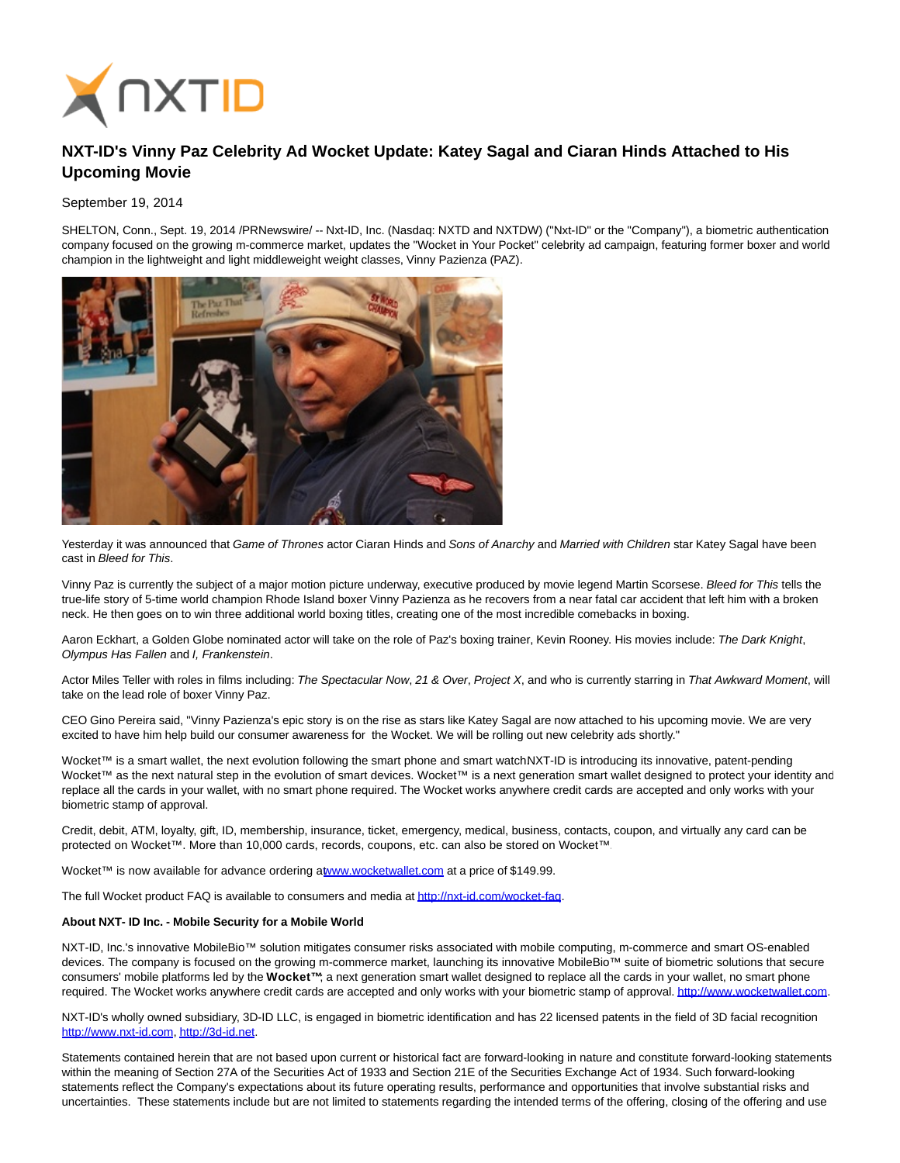

## **NXT-ID's Vinny Paz Celebrity Ad Wocket Update: Katey Sagal and Ciaran Hinds Attached to His Upcoming Movie**

## September 19, 2014

SHELTON, Conn., Sept. 19, 2014 /PRNewswire/ -- Nxt-ID, Inc. (Nasdaq: NXTD and NXTDW) ("Nxt-ID" or the "Company"), a biometric authentication company focused on the growing m-commerce market, updates the "Wocket in Your Pocket" celebrity ad campaign, featuring former boxer and world champion in the lightweight and light middleweight weight classes, Vinny Pazienza (PAZ).



Yesterday it was announced that Game of Thrones actor Ciaran Hinds and Sons of Anarchy and Married with Children star Katey Sagal have been cast in Bleed for This.

Vinny Paz is currently the subject of a major motion picture underway, executive produced by movie legend Martin Scorsese. Bleed for This tells the true-life story of 5-time world champion Rhode Island boxer Vinny Pazienza as he recovers from a near fatal car accident that left him with a broken neck. He then goes on to win three additional world boxing titles, creating one of the most incredible comebacks in boxing.

Aaron Eckhart, a Golden Globe nominated actor will take on the role of Paz's boxing trainer, Kevin Rooney. His movies include: The Dark Knight, Olympus Has Fallen and I, Frankenstein.

Actor Miles Teller with roles in films including: The Spectacular Now, 21 & Over, Project X, and who is currently starring in That Awkward Moment, will take on the lead role of boxer Vinny Paz.

CEO Gino Pereira said, "Vinny Pazienza's epic story is on the rise as stars like Katey Sagal are now attached to his upcoming movie. We are very excited to have him help build our consumer awareness for the Wocket. We will be rolling out new celebrity ads shortly."

Wocket™ is a smart wallet, the next evolution following the smart phone and smart watchNXT-ID is introducing its innovative, patent-pending Wocket™ as the next natural step in the evolution of smart devices. Wocket™ is a next generation smart wallet designed to protect your identity and replace all the cards in your wallet, with no smart phone required. The Wocket works anywhere credit cards are accepted and only works with your biometric stamp of approval.

Credit, debit, ATM, loyalty, gift, ID, membership, insurance, ticket, emergency, medical, business, contacts, coupon, and virtually any card can be protected on Wocket™. More than 10,000 cards, records, coupons, etc. can also be stored on Wocket™

Wocket™ is now available for advance ordering [at www.wocketwallet.com a](http://www.wocketwallet.com/)t a price of \$149.99.

The full Wocket product FAQ is available to consumers and media a[t http://nxt-id.com/wocket-faq.](http://nxt-id.com/wocket-faq)

## **About NXT- ID Inc. - Mobile Security for a Mobile World**

NXT-ID, Inc.'s innovative MobileBio™ solution mitigates consumer risks associated with mobile computing, m-commerce and smart OS-enabled devices. The company is focused on the growing m-commerce market, launching its innovative MobileBio™ suite of biometric solutions that secure consumers' mobile platforms led by the **Wocket™**; a next generation smart wallet designed to replace all the cards in your wallet, no smart phone required. The Wocket works anywhere credit cards are accepted and only works with your biometric stamp of approval[. http://www.wocketwallet.com.](http://www.wocketwallet.com/)

NXT-ID's wholly owned subsidiary, 3D-ID LLC, is engaged in biometric identification and has 22 licensed patents in the field of 3D facial recognition [http://www.nxt-id.com,](http://www.nxt-id.com/) [http://3d-id.net.](http://3d-id.net/)

Statements contained herein that are not based upon current or historical fact are forward-looking in nature and constitute forward-looking statements within the meaning of Section 27A of the Securities Act of 1933 and Section 21E of the Securities Exchange Act of 1934. Such forward-looking statements reflect the Company's expectations about its future operating results, performance and opportunities that involve substantial risks and uncertainties. These statements include but are not limited to statements regarding the intended terms of the offering, closing of the offering and use